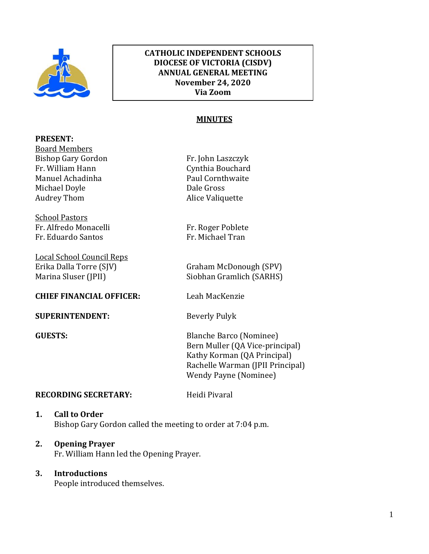

## **CATHOLIC INDEPENDENT SCHOOLS DIOCESE OF VICTORIA (CISDV) ANNUAL GENERAL MEETING November 24, 2020 Via Zoom**

#### **MINUTES** ֦  $\overline{\phantom{a}}$

j

#### **PRESENT:**

Board Members Bishop Gary Gordon Fr. John Laszczyk Fr. William Hann **Cynthia Bouchard** Manuel Achadinha **Paul Cornthwaite** Michael Doyle Dale Gross Audrey Thom Alice Valiquette

School Pastors Fr. Alfredo Monacelli Fr. Roger Poblete Fr. Eduardo Santos Fr. Michael Tran

Local School Council Reps

#### **CHIEF FINANCIAL OFFICER:** Leah MacKenzie

**SUPERINTENDENT:** Beverly Pulyk

Erika Dalla Torre (SJV) Graham McDonough (SPV) Marina Sluser (JPII) Siobhan Gramlich (SARHS)

**GUESTS:** Blanche Barco (Nominee) Bern Muller (QA Vice-principal) Kathy Korman (QA Principal) Rachelle Warman (JPII Principal) Wendy Payne (Nominee)

## **RECORDING SECRETARY:** Heidi Pivaral

## **1. Call to Order** Bishop Gary Gordon called the meeting to order at 7:04 p.m.

# **2. Opening Prayer**

Fr. William Hann led the Opening Prayer.

# **3. Introductions**

People introduced themselves.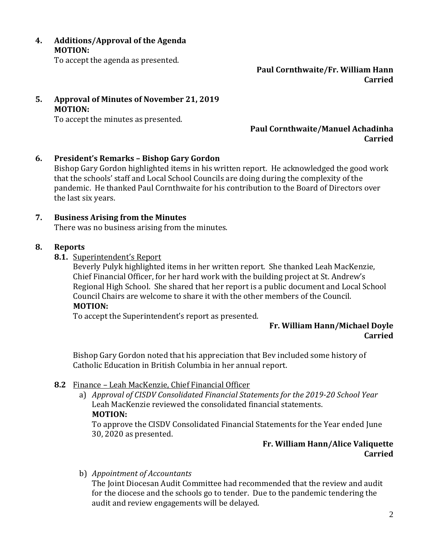**4. Additions/Approval of the Agenda MOTION:**

To accept the agenda as presented.

**Paul Cornthwaite/Fr. William Hann Carried**

**5. Approval of Minutes of November 21, 2019 MOTION:**

To accept the minutes as presented.

## **Paul Cornthwaite/Manuel Achadinha Carried**

**6. President's Remarks – Bishop Gary Gordon**

Bishop Gary Gordon highlighted items in his written report. He acknowledged the good work that the schools' staff and Local School Councils are doing during the complexity of the pandemic. He thanked Paul Cornthwaite for his contribution to the Board of Directors over the last six years.

## **7. Business Arising from the Minutes**

There was no business arising from the minutes.

## **8. Reports**

**8.1.** Superintendent's Report

Beverly Pulyk highlighted items in her written report. She thanked Leah MacKenzie, Chief Financial Officer, for her hard work with the building project at St. Andrew's Regional High School. She shared that her report is a public document and Local School Council Chairs are welcome to share it with the other members of the Council. **MOTION:**

To accept the Superintendent's report as presented.

# **Fr. William Hann/Michael Doyle Carried**

Bishop Gary Gordon noted that his appreciation that Bev included some history of Catholic Education in British Columbia in her annual report.

## **8.2** Finance – Leah MacKenzie, Chief Financial Officer

a) *Approval of CISDV Consolidated Financial Statements for the 2019-20 School Year* Leah MacKenzie reviewed the consolidated financial statements. **MOTION:**

To approve the CISDV Consolidated Financial Statements for the Year ended June 30, 2020 as presented.

# **Fr. William Hann/Alice Valiquette Carried**

b) *Appointment of Accountants*

The Joint Diocesan Audit Committee had recommended that the review and audit for the diocese and the schools go to tender. Due to the pandemic tendering the audit and review engagements will be delayed.